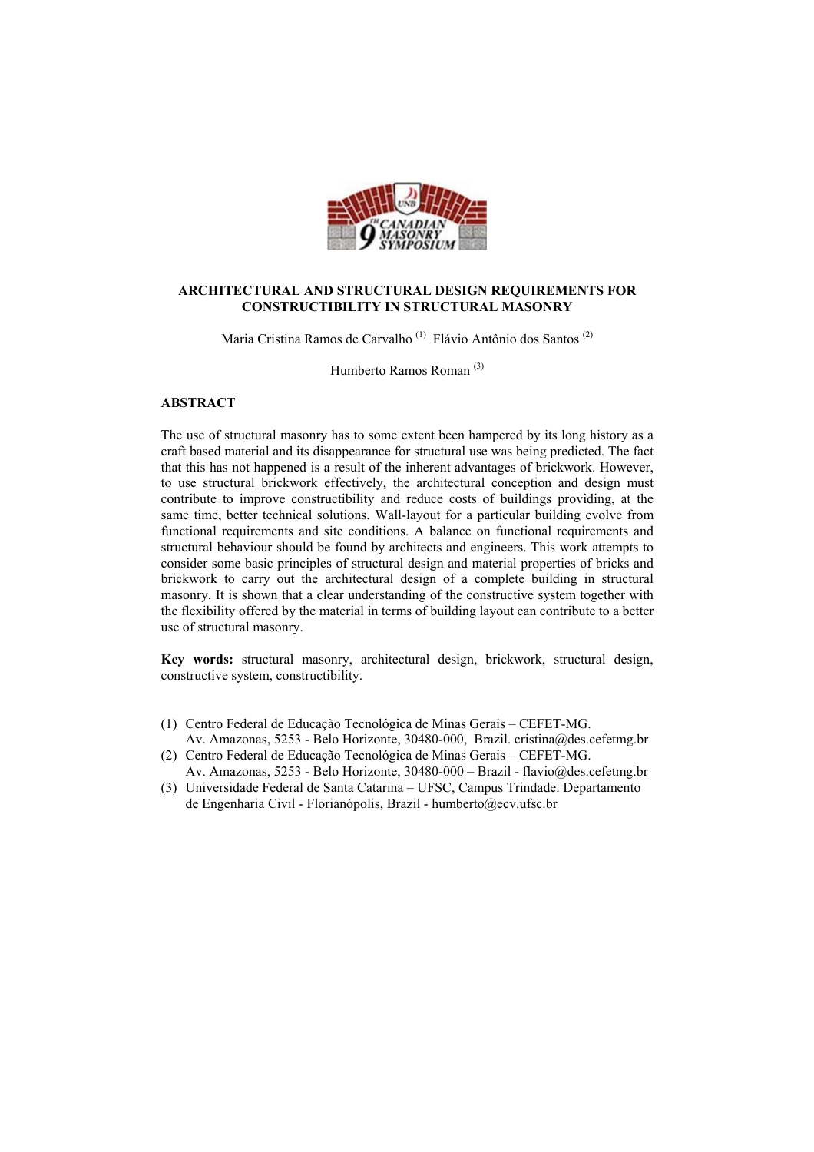

## **ARCHITECTURAL AND STRUCTURAL DESIGN REQUIREMENTS FOR CONSTRUCTIBILITY IN STRUCTURAL MASONRY**

Maria Cristina Ramos de Carvalho (1) Flávio Antônio dos Santos (2)

Humberto Ramos Roman (3)

#### **ABSTRACT**

The use of structural masonry has to some extent been hampered by its long history as a craft based material and its disappearance for structural use was being predicted. The fact that this has not happened is a result of the inherent advantages of brickwork. However, to use structural brickwork effectively, the architectural conception and design must contribute to improve constructibility and reduce costs of buildings providing, at the same time, better technical solutions. Wall-layout for a particular building evolve from functional requirements and site conditions. A balance on functional requirements and structural behaviour should be found by architects and engineers. This work attempts to consider some basic principles of structural design and material properties of bricks and brickwork to carry out the architectural design of a complete building in structural masonry. It is shown that a clear understanding of the constructive system together with the flexibility offered by the material in terms of building layout can contribute to a better use of structural masonry.

**Key words:** structural masonry, architectural design, brickwork, structural design, constructive system, constructibility.

- (1) Centro Federal de Educação Tecnológica de Minas Gerais CEFET-MG. Av. Amazonas, 5253 - Belo Horizonte, 30480-000, Brazil. cristina@des.cefetmg.br
- (2) Centro Federal de Educação Tecnológica de Minas Gerais CEFET-MG. Av. Amazonas, 5253 - Belo Horizonte, 30480-000 – Brazil - flavio@des.cefetmg.br
- (3) Universidade Federal de Santa Catarina UFSC, Campus Trindade. Departamento de Engenharia Civil - Florianópolis, Brazil - humberto@ecv.ufsc.br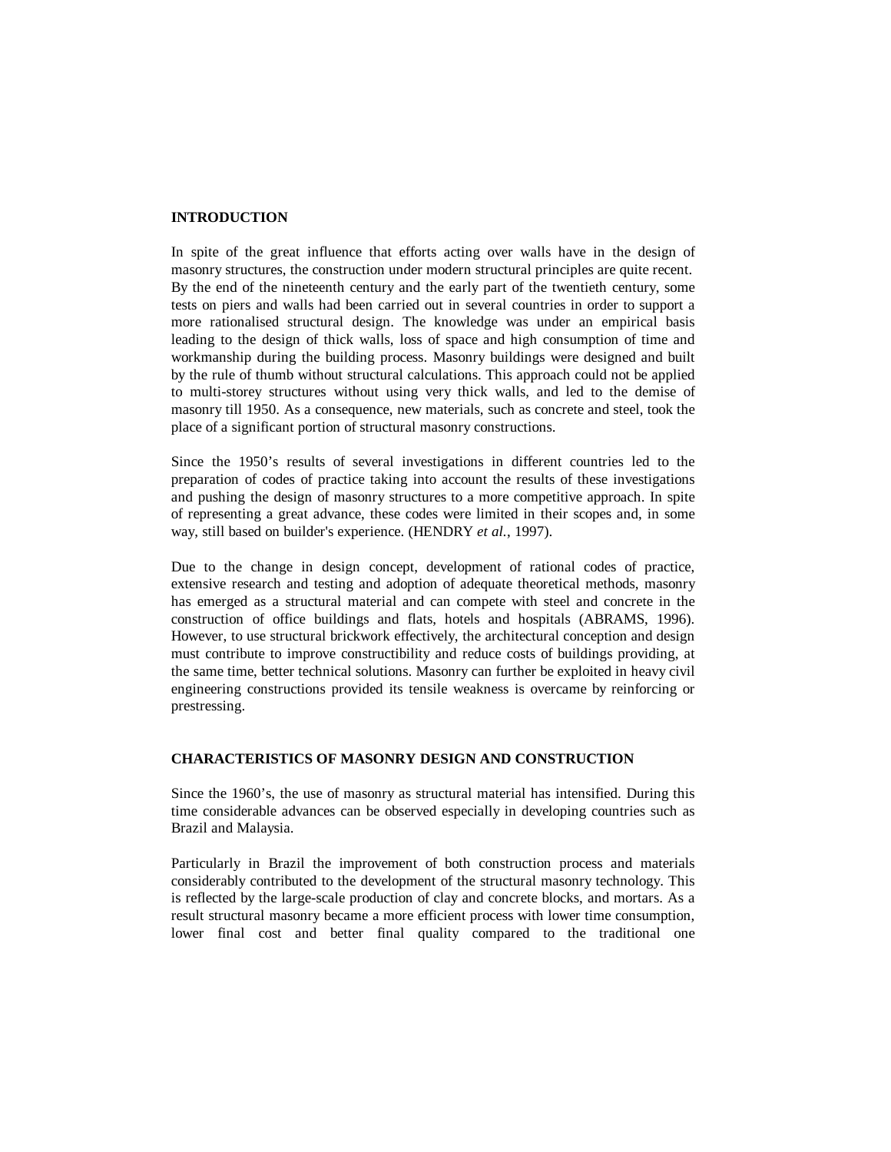## **INTRODUCTION**

In spite of the great influence that efforts acting over walls have in the design of masonry structures, the construction under modern structural principles are quite recent. By the end of the nineteenth century and the early part of the twentieth century, some tests on piers and walls had been carried out in several countries in order to support a more rationalised structural design. The knowledge was under an empirical basis leading to the design of thick walls, loss of space and high consumption of time and workmanship during the building process. Masonry buildings were designed and built by the rule of thumb without structural calculations. This approach could not be applied to multi-storey structures without using very thick walls, and led to the demise of masonry till 1950. As a consequence, new materials, such as concrete and steel, took the place of a significant portion of structural masonry constructions.

Since the 1950's results of several investigations in different countries led to the preparation of codes of practice taking into account the results of these investigations and pushing the design of masonry structures to a more competitive approach. In spite of representing a great advance, these codes were limited in their scopes and, in some way, still based on builder's experience. (HENDRY *et al.*, 1997).

Due to the change in design concept, development of rational codes of practice, extensive research and testing and adoption of adequate theoretical methods, masonry has emerged as a structural material and can compete with steel and concrete in the construction of office buildings and flats, hotels and hospitals (ABRAMS, 1996). However, to use structural brickwork effectively, the architectural conception and design must contribute to improve constructibility and reduce costs of buildings providing, at the same time, better technical solutions. Masonry can further be exploited in heavy civil engineering constructions provided its tensile weakness is overcame by reinforcing or prestressing.

## **CHARACTERISTICS OF MASONRY DESIGN AND CONSTRUCTION**

Since the 1960's, the use of masonry as structural material has intensified. During this time considerable advances can be observed especially in developing countries such as Brazil and Malaysia.

Particularly in Brazil the improvement of both construction process and materials considerably contributed to the development of the structural masonry technology. This is reflected by the large-scale production of clay and concrete blocks, and mortars. As a result structural masonry became a more efficient process with lower time consumption, lower final cost and better final quality compared to the traditional one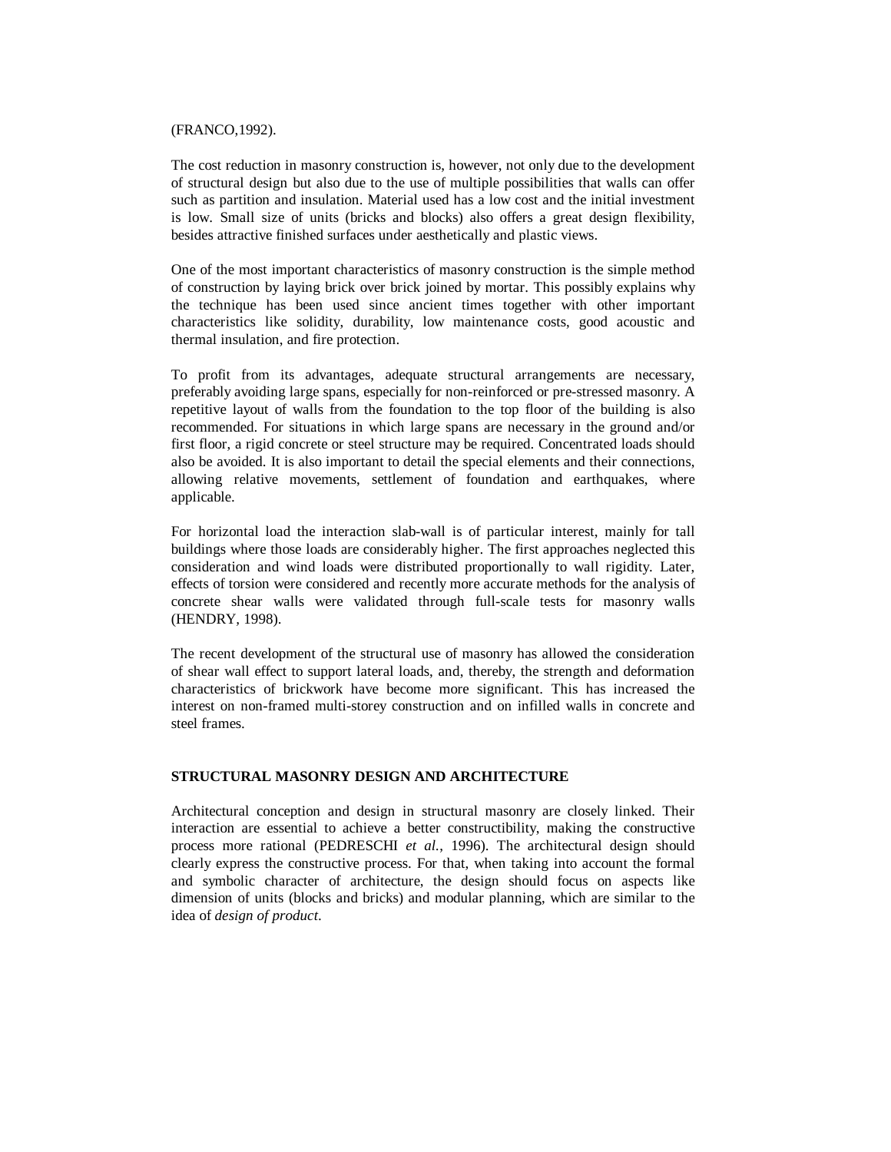#### (FRANCO,1992).

The cost reduction in masonry construction is, however, not only due to the development of structural design but also due to the use of multiple possibilities that walls can offer such as partition and insulation. Material used has a low cost and the initial investment is low. Small size of units (bricks and blocks) also offers a great design flexibility, besides attractive finished surfaces under aesthetically and plastic views.

One of the most important characteristics of masonry construction is the simple method of construction by laying brick over brick joined by mortar. This possibly explains why the technique has been used since ancient times together with other important characteristics like solidity, durability, low maintenance costs, good acoustic and thermal insulation, and fire protection.

To profit from its advantages, adequate structural arrangements are necessary, preferably avoiding large spans, especially for non-reinforced or pre-stressed masonry. A repetitive layout of walls from the foundation to the top floor of the building is also recommended. For situations in which large spans are necessary in the ground and/or first floor, a rigid concrete or steel structure may be required. Concentrated loads should also be avoided. It is also important to detail the special elements and their connections, allowing relative movements, settlement of foundation and earthquakes, where applicable.

For horizontal load the interaction slab-wall is of particular interest, mainly for tall buildings where those loads are considerably higher. The first approaches neglected this consideration and wind loads were distributed proportionally to wall rigidity. Later, effects of torsion were considered and recently more accurate methods for the analysis of concrete shear walls were validated through full-scale tests for masonry walls (HENDRY*,* 1998).

The recent development of the structural use of masonry has allowed the consideration of shear wall effect to support lateral loads, and, thereby, the strength and deformation characteristics of brickwork have become more significant. This has increased the interest on non-framed multi-storey construction and on infilled walls in concrete and steel frames.

## **STRUCTURAL MASONRY DESIGN AND ARCHITECTURE**

Architectural conception and design in structural masonry are closely linked. Their interaction are essential to achieve a better constructibility, making the constructive process more rational (PEDRESCHI *et al.*, 1996). The architectural design should clearly express the constructive process. For that, when taking into account the formal and symbolic character of architecture, the design should focus on aspects like dimension of units (blocks and bricks) and modular planning, which are similar to the idea of *design of product*.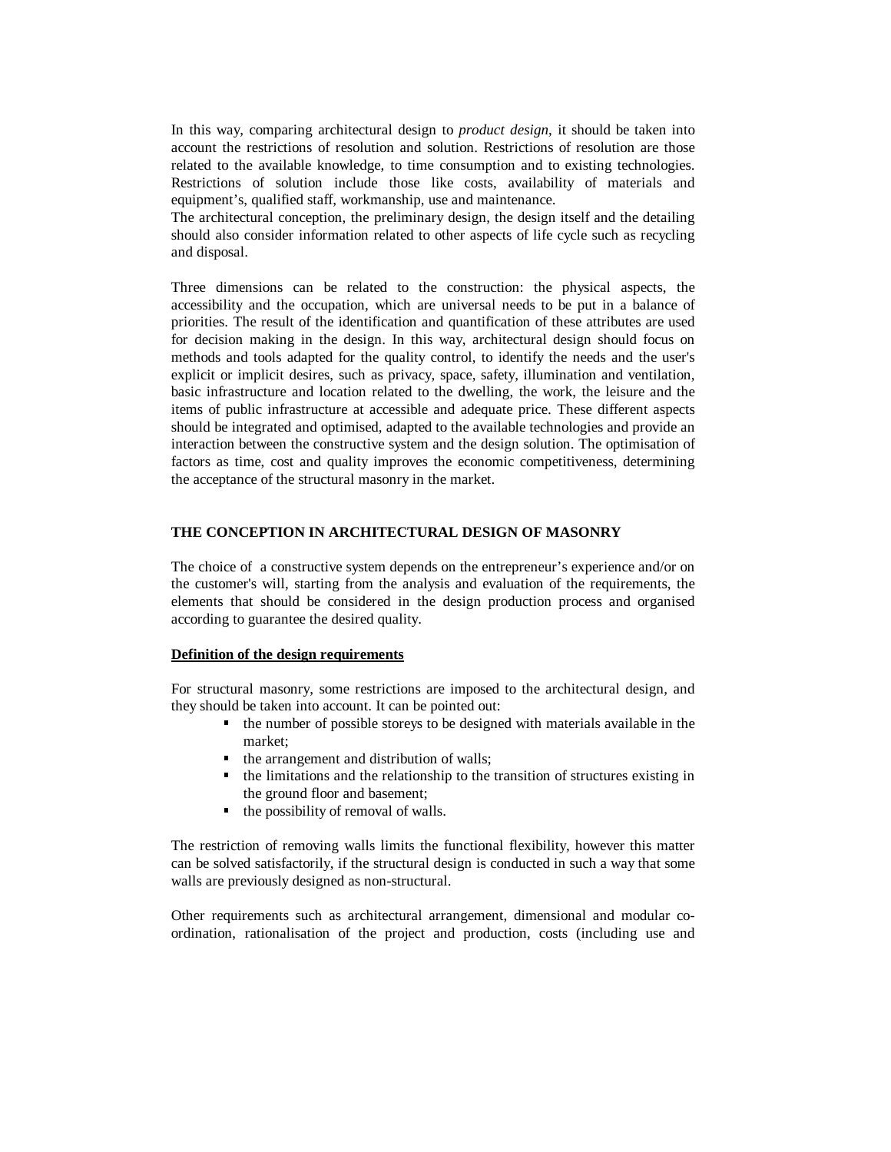In this way, comparing architectural design to *product design*, it should be taken into account the restrictions of resolution and solution. Restrictions of resolution are those related to the available knowledge, to time consumption and to existing technologies. Restrictions of solution include those like costs, availability of materials and equipment's, qualified staff, workmanship, use and maintenance.

The architectural conception, the preliminary design, the design itself and the detailing should also consider information related to other aspects of life cycle such as recycling and disposal.

Three dimensions can be related to the construction: the physical aspects, the accessibility and the occupation, which are universal needs to be put in a balance of priorities. The result of the identification and quantification of these attributes are used for decision making in the design. In this way, architectural design should focus on methods and tools adapted for the quality control, to identify the needs and the user's explicit or implicit desires, such as privacy, space, safety, illumination and ventilation, basic infrastructure and location related to the dwelling, the work, the leisure and the items of public infrastructure at accessible and adequate price. These different aspects should be integrated and optimised, adapted to the available technologies and provide an interaction between the constructive system and the design solution. The optimisation of factors as time, cost and quality improves the economic competitiveness, determining the acceptance of the structural masonry in the market.

## **THE CONCEPTION IN ARCHITECTURAL DESIGN OF MASONRY**

The choice of a constructive system depends on the entrepreneur's experience and/or on the customer's will, starting from the analysis and evaluation of the requirements, the elements that should be considered in the design production process and organised according to guarantee the desired quality.

#### **Definition of the design requirements**

For structural masonry, some restrictions are imposed to the architectural design, and they should be taken into account. It can be pointed out:

- the number of possible storeys to be designed with materials available in the market;
- the arrangement and distribution of walls;
- the limitations and the relationship to the transition of structures existing in the ground floor and basement;
- the possibility of removal of walls.

The restriction of removing walls limits the functional flexibility, however this matter can be solved satisfactorily, if the structural design is conducted in such a way that some walls are previously designed as non-structural.

Other requirements such as architectural arrangement, dimensional and modular coordination, rationalisation of the project and production, costs (including use and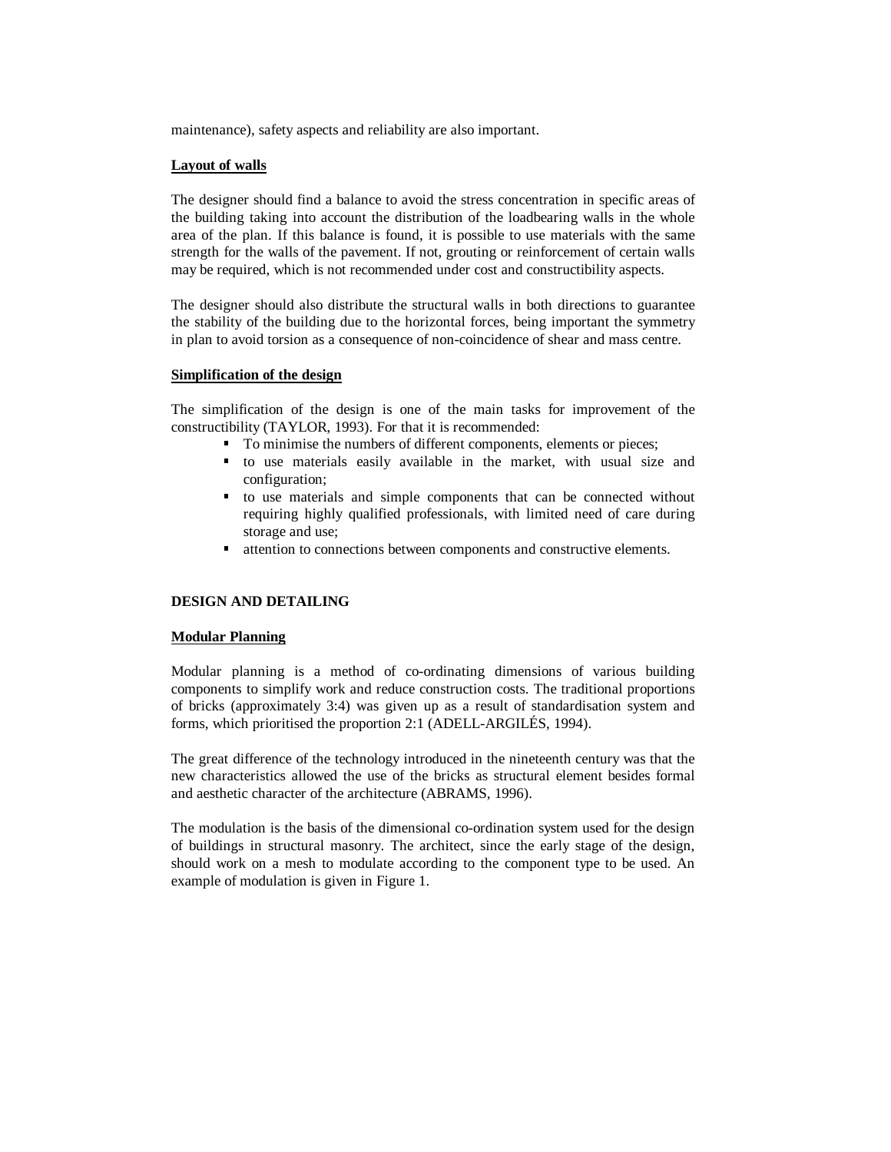maintenance), safety aspects and reliability are also important.

#### **Layout of walls**

The designer should find a balance to avoid the stress concentration in specific areas of the building taking into account the distribution of the loadbearing walls in the whole area of the plan. If this balance is found, it is possible to use materials with the same strength for the walls of the pavement. If not, grouting or reinforcement of certain walls may be required, which is not recommended under cost and constructibility aspects.

The designer should also distribute the structural walls in both directions to guarantee the stability of the building due to the horizontal forces, being important the symmetry in plan to avoid torsion as a consequence of non-coincidence of shear and mass centre.

### **Simplification of the design**

The simplification of the design is one of the main tasks for improvement of the constructibility (TAYLOR, 1993). For that it is recommended:

- To minimise the numbers of different components, elements or pieces;
- to use materials easily available in the market, with usual size and configuration;
- to use materials and simple components that can be connected without requiring highly qualified professionals, with limited need of care during storage and use;
- attention to connections between components and constructive elements.

## **DESIGN AND DETAILING**

#### **Modular Planning**

Modular planning is a method of co-ordinating dimensions of various building components to simplify work and reduce construction costs. The traditional proportions of bricks (approximately 3:4) was given up as a result of standardisation system and forms, which prioritised the proportion 2:1 (ADELL-ARGILÉS, 1994).

The great difference of the technology introduced in the nineteenth century was that the new characteristics allowed the use of the bricks as structural element besides formal and aesthetic character of the architecture (ABRAMS, 1996).

The modulation is the basis of the dimensional co-ordination system used for the design of buildings in structural masonry. The architect, since the early stage of the design, should work on a mesh to modulate according to the component type to be used. An example of modulation is given in Figure 1.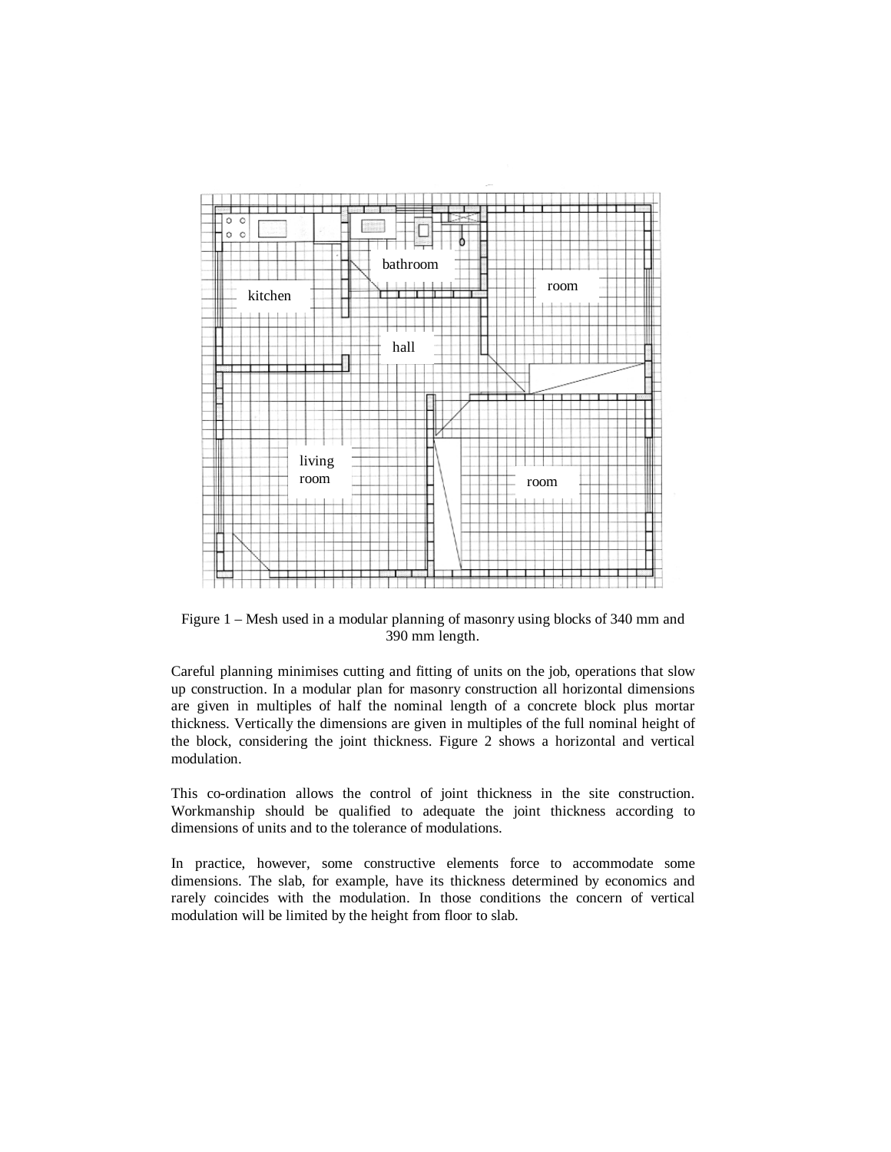

Figure 1 – Mesh used in a modular planning of masonry using blocks of 340 mm and 390 mm length.

Careful planning minimises cutting and fitting of units on the job, operations that slow up construction. In a modular plan for masonry construction all horizontal dimensions are given in multiples of half the nominal length of a concrete block plus mortar thickness. Vertically the dimensions are given in multiples of the full nominal height of the block, considering the joint thickness. Figure 2 shows a horizontal and vertical modulation.

This co-ordination allows the control of joint thickness in the site construction. Workmanship should be qualified to adequate the joint thickness according to dimensions of units and to the tolerance of modulations.

In practice, however, some constructive elements force to accommodate some dimensions. The slab, for example, have its thickness determined by economics and rarely coincides with the modulation. In those conditions the concern of vertical modulation will be limited by the height from floor to slab.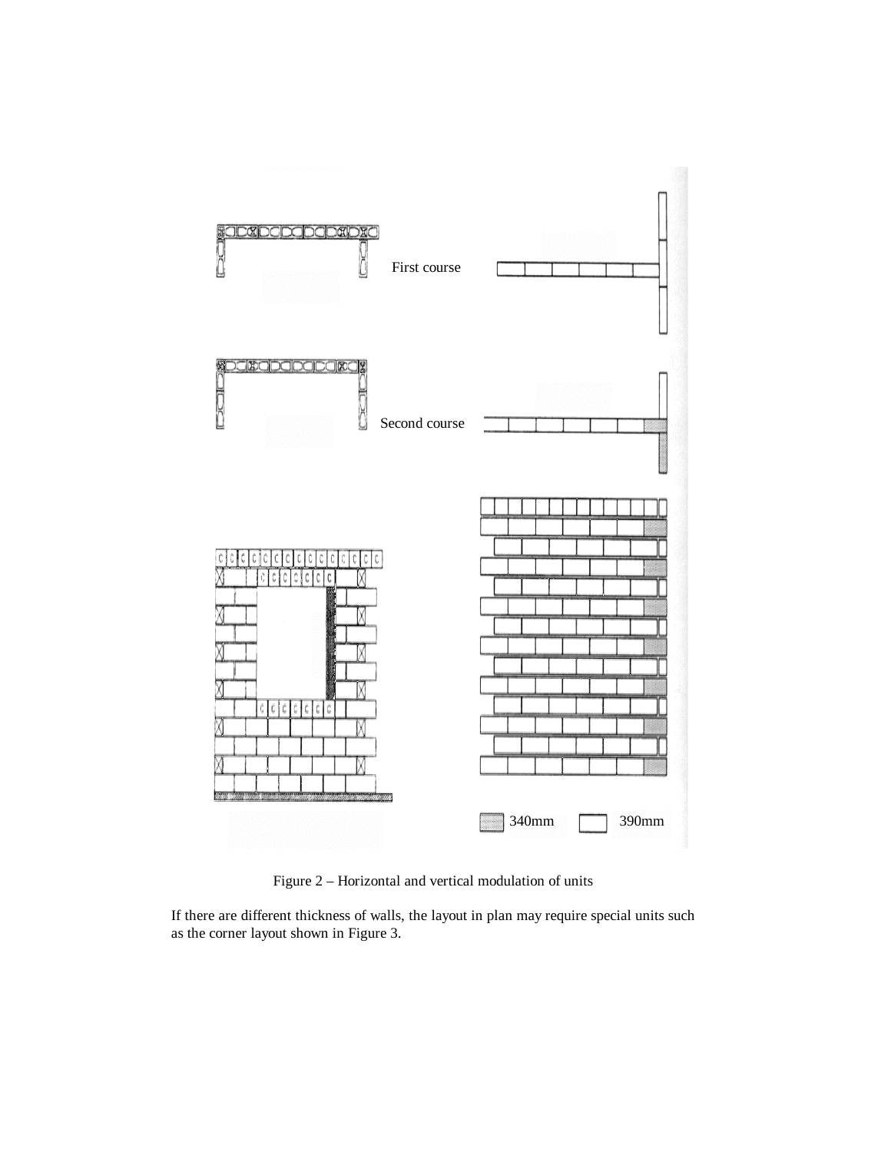

Figure 2 – Horizontal and vertical modulation of units

If there are different thickness of walls, the layout in plan may require special units such as the corner layout shown in Figure 3.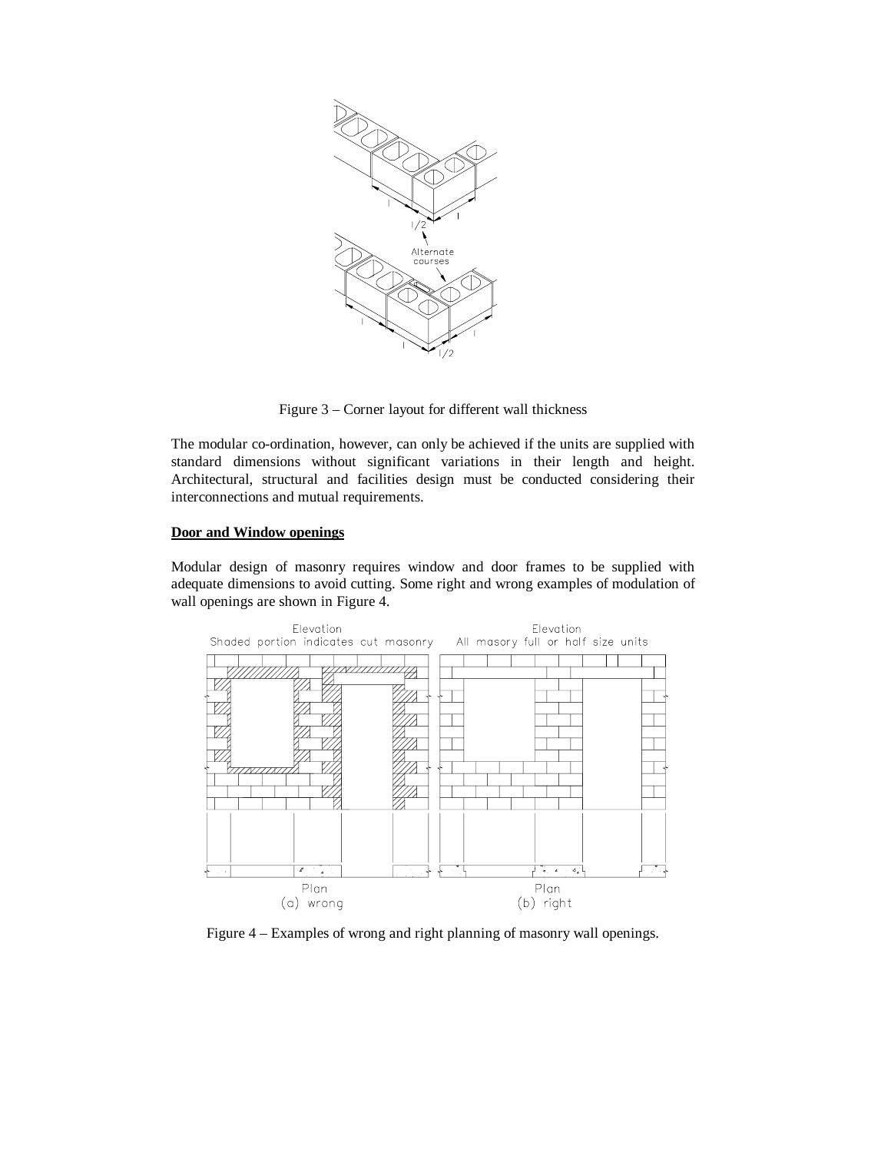

Figure 3 – Corner layout for different wall thickness

The modular co-ordination, however, can only be achieved if the units are supplied with standard dimensions without significant variations in their length and height. Architectural, structural and facilities design must be conducted considering their interconnections and mutual requirements.

## **Door and Window openings**

Modular design of masonry requires window and door frames to be supplied with adequate dimensions to avoid cutting. Some right and wrong examples of modulation of wall openings are shown in Figure 4.



Figure 4 – Examples of wrong and right planning of masonry wall openings.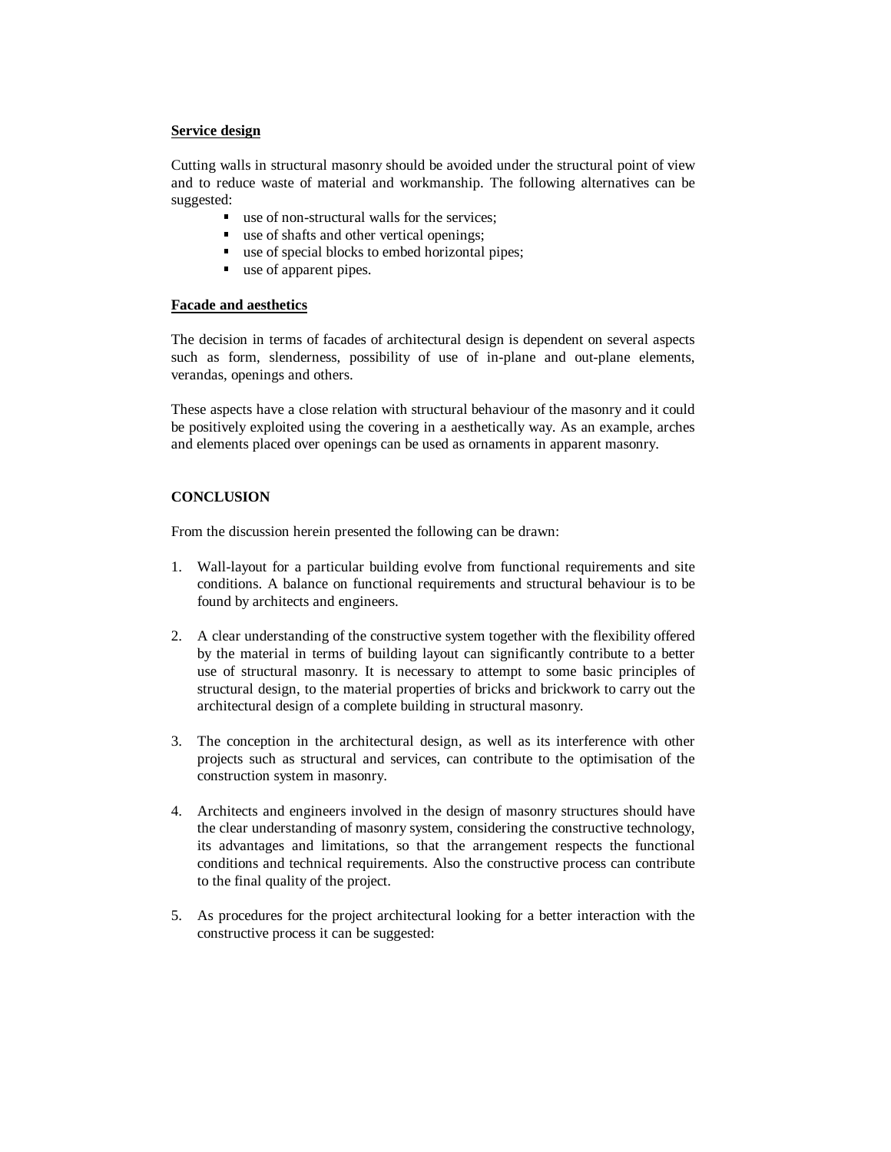## **Service design**

Cutting walls in structural masonry should be avoided under the structural point of view and to reduce waste of material and workmanship. The following alternatives can be suggested:

- use of non-structural walls for the services;
- use of shafts and other vertical openings;
- use of special blocks to embed horizontal pipes;
- use of apparent pipes.

## **Facade and aesthetics**

The decision in terms of facades of architectural design is dependent on several aspects such as form, slenderness, possibility of use of in-plane and out-plane elements, verandas, openings and others.

These aspects have a close relation with structural behaviour of the masonry and it could be positively exploited using the covering in a aesthetically way. As an example, arches and elements placed over openings can be used as ornaments in apparent masonry.

# **CONCLUSION**

From the discussion herein presented the following can be drawn:

- 1. Wall-layout for a particular building evolve from functional requirements and site conditions. A balance on functional requirements and structural behaviour is to be found by architects and engineers.
- 2. A clear understanding of the constructive system together with the flexibility offered by the material in terms of building layout can significantly contribute to a better use of structural masonry. It is necessary to attempt to some basic principles of structural design, to the material properties of bricks and brickwork to carry out the architectural design of a complete building in structural masonry.
- 3. The conception in the architectural design, as well as its interference with other projects such as structural and services, can contribute to the optimisation of the construction system in masonry.
- 4. Architects and engineers involved in the design of masonry structures should have the clear understanding of masonry system, considering the constructive technology, its advantages and limitations, so that the arrangement respects the functional conditions and technical requirements. Also the constructive process can contribute to the final quality of the project.
- 5. As procedures for the project architectural looking for a better interaction with the constructive process it can be suggested: